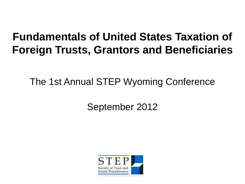#### **Fundamentals of United States Taxation of Foreign Trusts, Grantors and Beneficiaries**

The 1st Annual STEP Wyoming Conference

September 2012

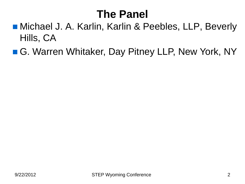#### **The Panel**

- Michael J. A. Karlin, Karlin & Peebles, LLP, Beverly Hills, CA
- G. Warren Whitaker, Day Pitney LLP, New York, NY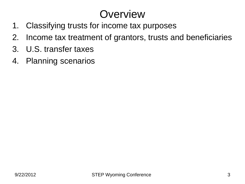#### **Overview**

- 1. Classifying trusts for income tax purposes
- 2. Income tax treatment of grantors, trusts and beneficiaries
- 3. U.S. transfer taxes
- 4. Planning scenarios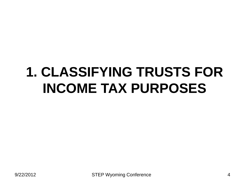# **1. CLASSIFYING TRUSTS FOR INCOME TAX PURPOSES**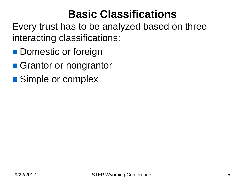#### **Basic Classifications**

Every trust has to be analyzed based on three interacting classifications:

- **Domestic or foreign**
- Grantor or nongrantor
- Simple or complex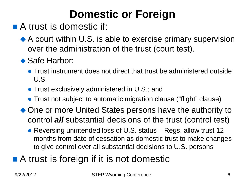## **Domestic or Foreign**

- A trust is domestic if:
	- ◆ A court within U.S. is able to exercise primary supervision over the administration of the trust (court test).

#### ◆ Safe Harbor:

- Trust instrument does not direct that trust be administered outside U.S.
- **Trust exclusively administered in U.S.; and**
- Trust not subject to automatic migration clause ("flight" clause)
- One or more United States persons have the authority to control *all* substantial decisions of the trust (control test)
	- Reversing unintended loss of U.S. status Regs. allow trust 12 months from date of cessation as domestic trust to make changes to give control over all substantial decisions to U.S. persons

#### ■ A trust is foreign if it is not domestic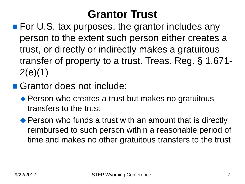#### **Grantor Trust**

- For U.S. tax purposes, the grantor includes any person to the extent such person either creates a trust, or directly or indirectly makes a gratuitous transfer of property to a trust. Treas. Reg. § 1.671- 2(e)(1)
- Grantor does not include:
	- ◆ Person who creates a trust but makes no gratuitous transfers to the trust
	- ◆ Person who funds a trust with an amount that is directly reimbursed to such person within a reasonable period of time and makes no other gratuitous transfers to the trust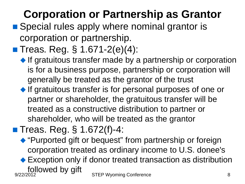## **Corporation or Partnership as Grantor**

- Special rules apply where nominal grantor is corporation or partnership.
- Treas. Reg.  $\S$  1.671-2(e)(4):
	- $\blacklozenge$  If gratuitous transfer made by a partnership or corporation is for a business purpose, partnership or corporation will generally be treated as the grantor of the trust
	- ◆ If gratuitous transfer is for personal purposes of one or partner or shareholder, the gratuitous transfer will be treated as a constructive distribution to partner or shareholder, who will be treated as the grantor

■ Treas. Reg. § 1.672(f)-4:

- "Purported gift or bequest" from partnership or foreign corporation treated as ordinary income to U.S. donee's
- ◆ Exception only if donor treated transaction as distribution followed by gift<br>
STEP Wyoming Conference<br>
8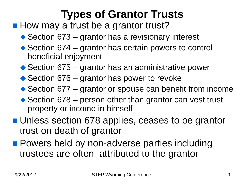### **Types of Grantor Trusts**

■ How may a trust be a grantor trust?

- ◆ Section 673 grantor has a revisionary interest
- ◆ Section 674 grantor has certain powers to control beneficial enjoyment
- ◆ Section 675 grantor has an administrative power
- ◆ Section 676 grantor has power to revoke
- ◆ Section 677 grantor or spouse can benefit from income
- ◆ Section 678 person other than grantor can vest trust property or income in himself
- **Unless section 678 applies, ceases to be grantor** trust on death of grantor
- **Powers held by non-adverse parties including** trustees are often attributed to the grantor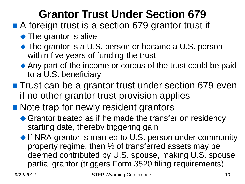### **Grantor Trust Under Section 679**

- A foreign trust is a section 679 grantor trust if
	- The grantor is alive
	- ◆ The grantor is a U.S. person or became a U.S. person within five years of funding the trust
	- ◆ Any part of the income or corpus of the trust could be paid to a U.S. beneficiary
- **Trust can be a grantor trust under section 679 even** if no other grantor trust provision applies
- Note trap for newly resident grantors
	- ◆ Grantor treated as if he made the transfer on residency starting date, thereby triggering gain
	- ◆ If NRA grantor is married to U.S. person under community property regime, then ½ of transferred assets may be deemed contributed by U.S. spouse, making U.S. spouse partial grantor (triggers Form 3520 filing requirements)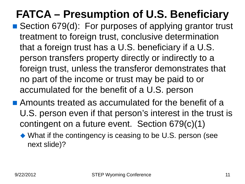## **FATCA – Presumption of U.S. Beneficiary**

- Section 679(d): For purposes of applying grantor trust treatment to foreign trust, conclusive determination that a foreign trust has a U.S. beneficiary if a U.S. person transfers property directly or indirectly to a foreign trust, unless the transferor demonstrates that no part of the income or trust may be paid to or accumulated for the benefit of a U.S. person
- **Amounts treated as accumulated for the benefit of a** U.S. person even if that person's interest in the trust is contingent on a future event. Section 679(c)(1)
	- What if the contingency is ceasing to be U.S. person (see next slide)?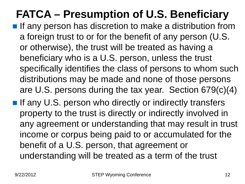## **FATCA – Presumption of U.S. Beneficiary**

- **If any person has discretion to make a distribution from** a foreign trust to or for the benefit of any person (U.S. or otherwise), the trust will be treated as having a beneficiary who is a U.S. person, unless the trust specifically identifies the class of persons to whom such distributions may be made and none of those persons are U.S. persons during the tax year. Section 679(c)(4)
- If any U.S. person who directly or indirectly transfers property to the trust is directly or indirectly involved in any agreement or understanding that may result in trust income or corpus being paid to or accumulated for the benefit of a U.S. person, that agreement or understanding will be treated as a term of the trust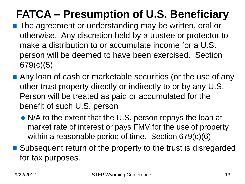## **FATCA – Presumption of U.S. Beneficiary**

- **The agreement or understanding may be written, oral or** otherwise. Any discretion held by a trustee or protector to make a distribution to or accumulate income for a U.S. person will be deemed to have been exercised. Section 679(c)(5)
- Any loan of cash or marketable securities (or the use of any other trust property directly or indirectly to or by any U.S. Person will be treated as paid or accumulated for the benefit of such U.S. person
	- N/A to the extent that the U.S. person repays the loan at market rate of interest or pays FMV for the use of property within a reasonable period of time. Section 679(c)(6)
- Subsequent return of the property to the trust is disregarded for tax purposes.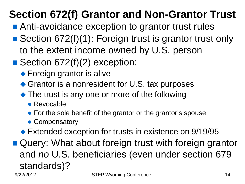## **Section 672(f) Grantor and Non-Grantor Trust**

- Anti-avoidance exception to grantor trust rules
- Section 672(f)(1): Foreign trust is grantor trust only to the extent income owned by U.S. person
- Section 672(f)(2) exception:
	- ◆ Foreign grantor is alive
	- ◆ Grantor is a nonresident for U.S. tax purposes
	- The trust is any one or more of the following
		- Revocable
		- For the sole benefit of the grantor or the grantor's spouse
		- Compensatory
	- ◆ Extended exception for trusts in existence on 9/19/95
- Query: What about foreign trust with foreign grantor and *no* U.S. beneficiaries (even under section 679 standards)? 9/22/2012 STEP Wyoming Conference 14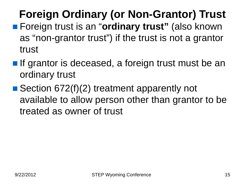## **Foreign Ordinary (or Non-Grantor) Trust**

- Foreign trust is an "**ordinary trust**" (also known as "non-grantor trust") if the trust is not a grantor trust
- **If grantor is deceased, a foreign trust must be an** ordinary trust
- Section 672(f)(2) treatment apparently not available to allow person other than grantor to be treated as owner of trust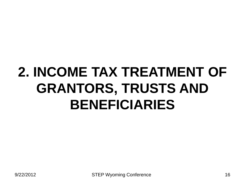# **2. INCOME TAX TREATMENT OF GRANTORS, TRUSTS AND BENEFICIARIES**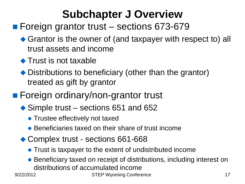### **Subchapter J Overview**

#### ■ Foreign grantor trust – sections 673-679

- ◆ Grantor is the owner of (and taxpayer with respect to) all trust assets and income
- ◆ Trust is not taxable
- ◆ Distributions to beneficiary (other than the grantor) treated as gift by grantor
- Foreign ordinary/non-grantor trust
	- ◆ Simple trust sections 651 and 652
		- **Trustee effectively not taxed**
		- Beneficiaries taxed on their share of trust income
	- ◆ Complex trust sections 661-668
		- Trust is taxpayer to the extent of undistributed income
		- Beneficiary taxed on receipt of distributions, including interest on distributions of accumulated income

9/22/2012 STEP Wyoming Conference 17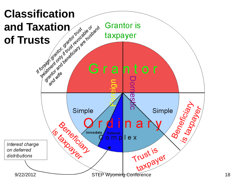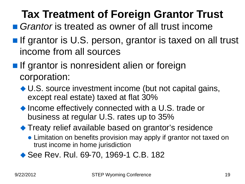## **Tax Treatment of Foreign Grantor Trust**

- *Grantor* is treated as owner of all trust income
- **If grantor is U.S. person, grantor is taxed on all trust** income from all sources
- **If grantor is nonresident alien or foreign** corporation:
	- ◆ U.S. source investment income (but not capital gains, except real estate) taxed at flat 30%
	- ◆ Income effectively connected with a U.S. trade or business at regular U.S. rates up to 35%
	- ◆ Treaty relief available based on grantor's residence
		- Limitation on benefits provision may apply if grantor not taxed on trust income in home jurisdiction
	- ◆ See Rev. Rul. 69-70, 1969-1 C.B. 182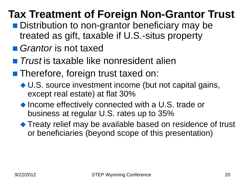## **Tax Treatment of Foreign Non-Grantor Trust**

- Distribution to non-grantor beneficiary may be treated as gift, taxable if U.S.-situs property
- *Grantor* is not taxed
- *Trust* is taxable like nonresident alien
- **Therefore, foreign trust taxed on:** 
	- ◆ U.S. source investment income (but not capital gains, except real estate) at flat 30%
	- ◆ Income effectively connected with a U.S. trade or business at regular U.S. rates up to 35%
	- ◆ Treaty relief may be available based on residence of trust or beneficiaries (beyond scope of this presentation)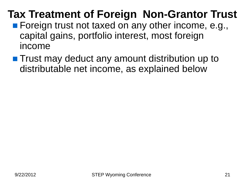#### **Tax Treatment of Foreign Non-Grantor Trust**

- **Foreign trust not taxed on any other income, e.g.,** capital gains, portfolio interest, most foreign income
- **The Trust may deduct any amount distribution up to** distributable net income, as explained below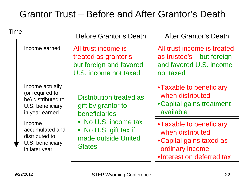#### Grantor Trust – Before and After Grantor's Death

| Time |                                                                                                |                                                                                                     |                                                                                                                          |
|------|------------------------------------------------------------------------------------------------|-----------------------------------------------------------------------------------------------------|--------------------------------------------------------------------------------------------------------------------------|
|      |                                                                                                | <b>Before Grantor's Death</b>                                                                       | <b>After Grantor's Death</b>                                                                                             |
|      | Income earned                                                                                  | All trust income is<br>treated as grantor's $-$<br>but foreign and favored<br>U.S. income not taxed | All trust income is treated<br>as trustee's - but foreign<br>and favored U.S. income<br>not taxed                        |
|      | Income actually<br>(or required to<br>be) distributed to<br>U.S. beneficiary<br>in year earned | Distribution treated as<br>gift by grantor to<br>beneficiaries                                      | • Taxable to beneficiary<br>when distributed<br>• Capital gains treatment<br>available                                   |
|      | Income<br>accumulated and<br>distributed to<br>U.S. beneficiary<br>in later year               | • No U.S. income tax<br>• No U.S. gift tax if<br>made outside United<br><b>States</b>               | • Taxable to beneficiary<br>when distributed<br>• Capital gains taxed as<br>ordinary income<br>•Interest on deferred tax |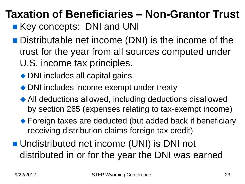## **Taxation of Beneficiaries – Non-Grantor Trust**

- **Key concepts: DNI and UNI**
- Distributable net income (DNI) is the income of the trust for the year from all sources computed under U.S. income tax principles.
	- ◆ DNI includes all capital gains
	- ◆ DNI includes income exempt under treaty
	- All deductions allowed, including deductions disallowed by section 265 (expenses relating to tax-exempt income)
	- ◆ Foreign taxes are deducted (but added back if beneficiary receiving distribution claims foreign tax credit)
- Undistributed net income (UNI) is DNI not distributed in or for the year the DNI was earned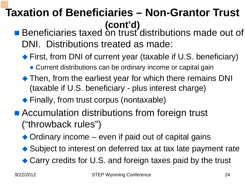#### **Taxation of Beneficiaries – Non-Grantor Trust (cont'd)**

- Beneficiaries taxed on trust distributions made out of DNI. Distributions treated as made:
	- ◆ First, from DNI of current year (taxable if U.S. beneficiary)
		- Current distributions can be ordinary income or capital gain
	- Then, from the earliest year for which there remains DNI (taxable if U.S. beneficiary - plus interest charge)
	- ◆ Finally, from trust corpus (nontaxable)
- Accumulation distributions from foreign trust ("throwback rules")
	- ◆ Ordinary income even if paid out of capital gains
	- ◆ Subject to interest on deferred tax at tax late payment rate
	- ◆ Carry credits for U.S. and foreign taxes paid by the trust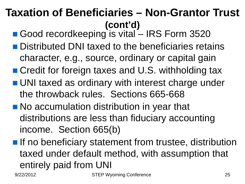#### **Taxation of Beneficiaries – Non-Grantor Trust (cont'd)**

- Good recordkeeping is vital IRS Form 3520
- **Distributed DNI taxed to the beneficiaries retains** character, e.g., source, ordinary or capital gain
- Credit for foreign taxes and U.S. withholding tax
- **UNI taxed as ordinary with interest charge under** the throwback rules. Sections 665-668
- No accumulation distribution in year that distributions are less than fiduciary accounting income. Section 665(b)
- **If no beneficiary statement from trustee, distribution** taxed under default method, with assumption that entirely paid from UNI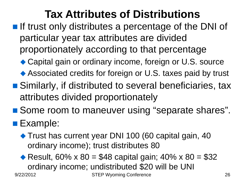### **Tax Attributes of Distributions**

- $\blacksquare$  If trust only distributes a percentage of the DNI of particular year tax attributes are divided proportionately according to that percentage
	- ◆ Capital gain or ordinary income, foreign or U.S. source
	- Associated credits for foreign or U.S. taxes paid by trust
- Similarly, if distributed to several beneficiaries, tax attributes divided proportionately
- Some room to maneuver using "separate shares".

#### **Example:**

◆ Trust has current year DNI 100 (60 capital gain, 40 ordinary income); trust distributes 80

Result,  $60\% \times 80 = $48$  capital gain;  $40\% \times 80 = $32$ ordinary income; undistributed \$20 will be UNI 9/22/2012 STEP Wyoming Conference 26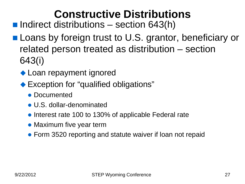#### **Constructive Distributions**

 $\blacksquare$  Indirect distributions – section 643(h)

- **Loans by foreign trust to U.S. grantor, beneficiary or** related person treated as distribution – section 643(i)
	- ◆ Loan repayment ignored
	- ◆ Exception for "qualified obligations"
		- Documented
		- U.S. dollar-denominated
		- Interest rate 100 to 130% of applicable Federal rate
		- Maximum five year term
		- Form 3520 reporting and statute waiver if loan not repaid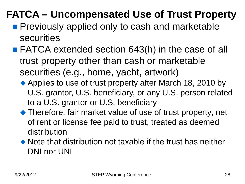#### **FATCA – Uncompensated Use of Trust Property**

- **Previously applied only to cash and marketable** securities
- FATCA extended section 643(h) in the case of all trust property other than cash or marketable securities (e.g., home, yacht, artwork)
	- ◆ Applies to use of trust property after March 18, 2010 by U.S. grantor, U.S. beneficiary, or any U.S. person related to a U.S. grantor or U.S. beneficiary
	- ◆ Therefore, fair market value of use of trust property, net of rent or license fee paid to trust, treated as deemed distribution
	- Note that distribution not taxable if the trust has neither DNI nor UNI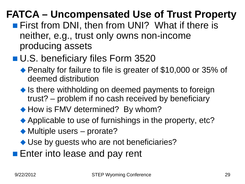#### **FATCA – Uncompensated Use of Trust Property**

- **First from DNI, then from UNI? What if there is** neither, e.g., trust only owns non-income producing assets
- U.S. beneficiary files Form 3520
	- ◆ Penalty for failure to file is greater of \$10,000 or 35% of deemed distribution
	- $\bullet$  Is there withholding on deemed payments to foreign trust? – problem if no cash received by beneficiary
	- ◆ How is FMV determined? By whom?
	- ◆ Applicable to use of furnishings in the property, etc?
	- ◆ Multiple users prorate?
	- ◆ Use by guests who are not beneficiaries?
- **Enter into lease and pay rent**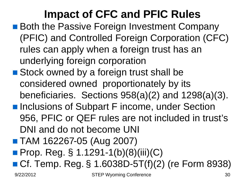## **Impact of CFC and PFIC Rules**

- Both the Passive Foreign Investment Company (PFIC) and Controlled Foreign Corporation (CFC) rules can apply when a foreign trust has an underlying foreign corporation
- Stock owned by a foreign trust shall be considered owned proportionately by its beneficiaries. Sections 958(a)(2) and 1298(a)(3).
- **Inclusions of Subpart F income, under Section** 956, PFIC or QEF rules are not included in trust's DNI and do not become UNI
- TAM 162267-05 (Aug 2007)
- **Prop. Reg. § 1.1291-1(b)(8)(iii)(C)**
- Cf. Temp. Reg. § 1.6038D-5T(f)(2) (re Form 8938)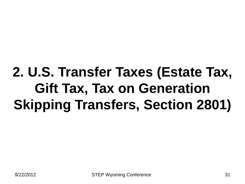# **2. U.S. Transfer Taxes (Estate Tax, Gift Tax, Tax on Generation Skipping Transfers, Section 2801)**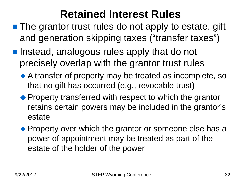#### **Retained Interest Rules**

- The grantor trust rules do not apply to estate, gift and generation skipping taxes ("transfer taxes")
- **Instead, analogous rules apply that do not** precisely overlap with the grantor trust rules
	- A transfer of property may be treated as incomplete, so that no gift has occurred (e.g., revocable trust)
	- Property transferred with respect to which the grantor retains certain powers may be included in the grantor's estate
	- Property over which the grantor or someone else has a power of appointment may be treated as part of the estate of the holder of the power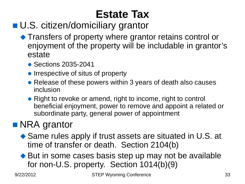## **Estate Tax**

#### ■ U.S. citizen/domiciliary grantor

- ◆ Transfers of property where grantor retains control or enjoyment of the property will be includable in grantor's estate
	- Sections 2035-2041
	- Irrespective of situs of property
	- Release of these powers within 3 years of death also causes inclusion
	- Right to revoke or amend, right to income, right to control beneficial enjoyment, power to remove and appoint a related or subordinate party, general power of appointment

#### **NRA** grantor

- ◆ Same rules apply if trust assets are situated in U.S. at time of transfer or death. Section 2104(b)
- ◆ But in some cases basis step up may not be available for non-U.S. property. Section 1014(b)(9)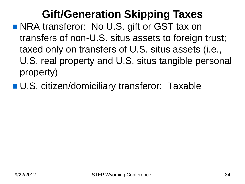## **Gift/Generation Skipping Taxes**

- NRA transferor: No U.S. gift or GST tax on transfers of non-U.S. situs assets to foreign trust; taxed only on transfers of U.S. situs assets (i.e., U.S. real property and U.S. situs tangible personal property)
- **U.S. citizen/domiciliary transferor: Taxable**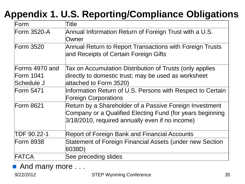#### **Appendix 1. U.S. Reporting/Compliance Obligations**

| Form             | Title                                                      |  |
|------------------|------------------------------------------------------------|--|
| Form 3520-A      | Annual Information Return of Foreign Trust with a U.S.     |  |
|                  | Owner                                                      |  |
| Form 3520        | Annual Return to Report Transactions with Foreign Trusts   |  |
|                  | and Receipts of Certain Foreign Gifts                      |  |
| Forms 4970 and   | Tax on Accumulation Distribution of Trusts (only applies   |  |
| Form 1041        | directly to domestic trust; may be used as worksheet       |  |
| Schedule J       | attached to Form 3520)                                     |  |
| Form 5471        | Information Return of U.S. Persons with Respect to Certain |  |
|                  | <b>Foreign Corporations</b>                                |  |
| <b>Form 8621</b> | Return by a Shareholder of a Passive Foreign Investment    |  |
|                  | Company or a Qualified Electing Fund (for years beginning  |  |
|                  | 3/18/2010, required annually even if no income)            |  |
| TDF 90.22-1      | <b>Report of Foreign Bank and Financial Accounts</b>       |  |
| <b>Form 8938</b> | Statement of Foreign Financial Assets (under new Section   |  |
|                  | 6038D)                                                     |  |
| FATCA            | See preceding slides                                       |  |

And many more . . .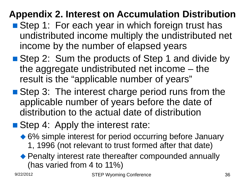#### **Appendix 2. Interest on Accumulation Distribution**

- Step 1: For each year in which foreign trust has undistributed income multiply the undistributed net income by the number of elapsed years
- Step 2: Sum the products of Step 1 and divide by the aggregate undistributed net income – the result is the "applicable number of years"
- Step 3: The interest charge period runs from the applicable number of years before the date of distribution to the actual date of distribution
- Step 4: Apply the interest rate:
	- ◆ 6% simple interest for period occurring before January 1, 1996 (not relevant to trust formed after that date)
	- ◆ Penalty interest rate thereafter compounded annually (has varied from 4 to 11%)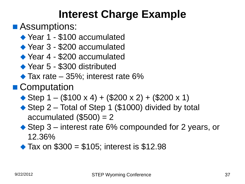#### **Interest Charge Example**

#### ■ Assumptions:

- ◆ Year 1 \$100 accumulated
- ◆ Year 3 \$200 accumulated
- ◆ Year 4 \$200 accumulated
- ◆ Year 5 \$300 distributed
- $\blacktriangleright$  Tax rate 35%; interest rate 6%
- Computation
	- $\triangle$  Step 1 (\$100 x 4) + (\$200 x 2) + (\$200 x 1)
	- ◆ Step 2 Total of Step 1 (\$1000) divided by total accumulated  $(\$500) = 2$
	- ◆ Step 3 interest rate 6% compounded for 2 years, or 12.36%
	- $\triangle$  Tax on \$300 = \$105; interest is \$12.98